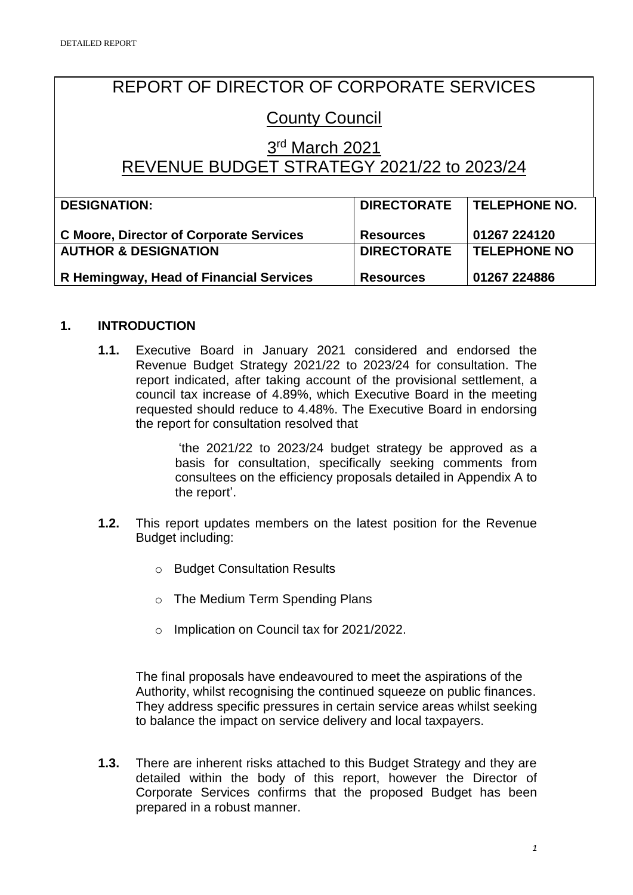# REPORT OF DIRECTOR OF CORPORATE SERVICES

# County Council

## 3<sup>rd</sup> March 2021 REVENUE BUDGET STRATEGY 2021/22 to 2023/24

| <b>DESIGNATION:</b>                            | <b>DIRECTORATE</b> | <b>TELEPHONE NO.</b> |
|------------------------------------------------|--------------------|----------------------|
|                                                |                    |                      |
|                                                |                    |                      |
| <b>C Moore, Director of Corporate Services</b> | <b>Resources</b>   | 01267 224120         |
|                                                |                    |                      |
| <b>AUTHOR &amp; DESIGNATION</b>                | <b>DIRECTORATE</b> | <b>TELEPHONE NO</b>  |
|                                                |                    |                      |
| R Hemingway, Head of Financial Services        | <b>Resources</b>   | 01267 224886         |
|                                                |                    |                      |

## **1. INTRODUCTION**

**1.1.** Executive Board in January 2021 considered and endorsed the Revenue Budget Strategy 2021/22 to 2023/24 for consultation. The report indicated, after taking account of the provisional settlement, a council tax increase of 4.89%, which Executive Board in the meeting requested should reduce to 4.48%. The Executive Board in endorsing the report for consultation resolved that

> 'the 2021/22 to 2023/24 budget strategy be approved as a basis for consultation, specifically seeking comments from consultees on the efficiency proposals detailed in Appendix A to the report'.

- **1.2.** This report updates members on the latest position for the Revenue Budget including:
	- o Budget Consultation Results
	- o The Medium Term Spending Plans
	- o Implication on Council tax for 2021/2022.

The final proposals have endeavoured to meet the aspirations of the Authority, whilst recognising the continued squeeze on public finances. They address specific pressures in certain service areas whilst seeking to balance the impact on service delivery and local taxpayers.

**1.3.** There are inherent risks attached to this Budget Strategy and they are detailed within the body of this report, however the Director of Corporate Services confirms that the proposed Budget has been prepared in a robust manner.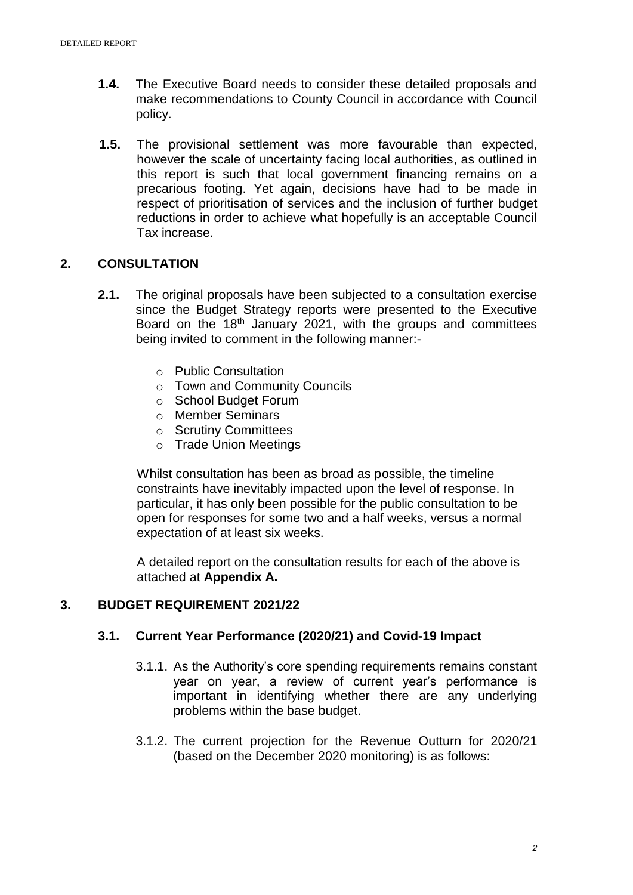- **1.4.** The Executive Board needs to consider these detailed proposals and make recommendations to County Council in accordance with Council policy.
- **1.5.** The provisional settlement was more favourable than expected, however the scale of uncertainty facing local authorities, as outlined in this report is such that local government financing remains on a precarious footing. Yet again, decisions have had to be made in respect of prioritisation of services and the inclusion of further budget reductions in order to achieve what hopefully is an acceptable Council Tax increase.

## **2. CONSULTATION**

- **2.1.** The original proposals have been subjected to a consultation exercise since the Budget Strategy reports were presented to the Executive Board on the 18th January 2021, with the groups and committees being invited to comment in the following manner:
	- o Public Consultation
	- o Town and Community Councils
	- o School Budget Forum
	- o Member Seminars
	- o Scrutiny Committees
	- o Trade Union Meetings

Whilst consultation has been as broad as possible, the timeline constraints have inevitably impacted upon the level of response. In particular, it has only been possible for the public consultation to be open for responses for some two and a half weeks, versus a normal expectation of at least six weeks.

A detailed report on the consultation results for each of the above is attached at **Appendix A.**

## **3. BUDGET REQUIREMENT 2021/22**

#### **3.1. Current Year Performance (2020/21) and Covid-19 Impact**

- 3.1.1. As the Authority's core spending requirements remains constant year on year, a review of current year's performance is important in identifying whether there are any underlying problems within the base budget.
- 3.1.2. The current projection for the Revenue Outturn for 2020/21 (based on the December 2020 monitoring) is as follows: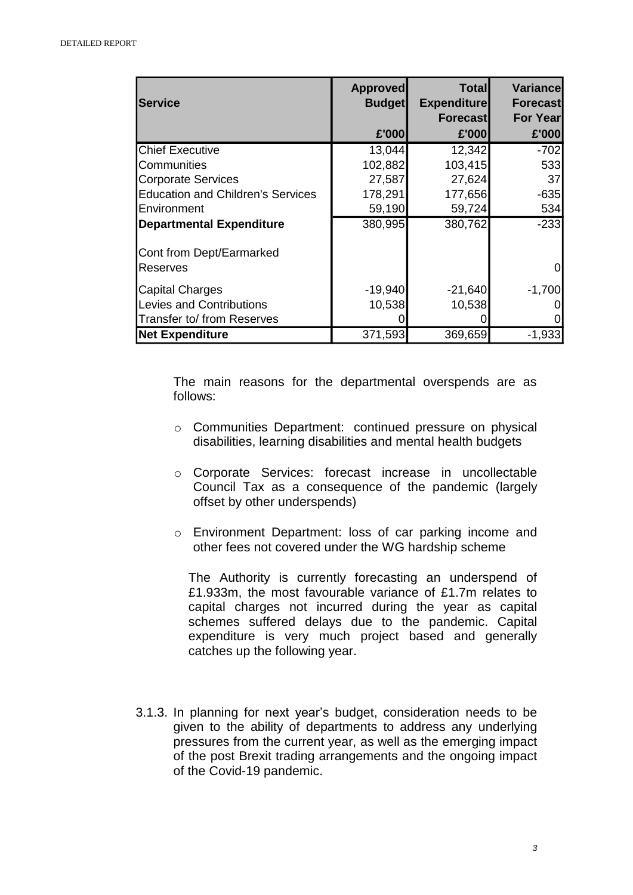| <b>Service</b>                           | <b>Approved</b><br><b>Budget</b> | <b>Total</b><br><b>Expenditure</b> | Variance<br>Forecast |
|------------------------------------------|----------------------------------|------------------------------------|----------------------|
|                                          |                                  | <b>Forecast</b>                    | <b>For Year</b>      |
|                                          | £'000                            | £'000                              | £'000                |
| <b>Chief Executive</b>                   | 13,044                           | 12,342                             | $-702$               |
| Communities                              | 102,882                          | 103,415                            | 533                  |
| Corporate Services                       | 27,587                           | 27,624                             | 37                   |
| <b>Education and Children's Services</b> | 178,291                          | 177,656                            | $-635$               |
| <b>IEnvironment</b>                      | 59,190                           | 59,724                             | 534                  |
| <b>Departmental Expenditure</b>          | 380,995                          | 380,762                            | $-233$               |
| Cont from Dept/Earmarked                 |                                  |                                    |                      |
| <b>Reserves</b>                          |                                  |                                    | 0                    |
| Capital Charges                          | $-19,940$                        | $-21,640$                          | $-1,700$             |
| Levies and Contributions                 | 10,538                           | 10,538                             |                      |
| Transfer to/ from Reserves               |                                  |                                    |                      |
| <b>Net Expenditure</b>                   | 371,593                          | 369,659                            | $-1,933$             |

The main reasons for the departmental overspends are as follows:

- o Communities Department: continued pressure on physical disabilities, learning disabilities and mental health budgets
- o Corporate Services: forecast increase in uncollectable Council Tax as a consequence of the pandemic (largely offset by other underspends)
- o Environment Department: loss of car parking income and other fees not covered under the WG hardship scheme

The Authority is currently forecasting an underspend of £1.933m, the most favourable variance of £1.7m relates to capital charges not incurred during the year as capital schemes suffered delays due to the pandemic. Capital expenditure is very much project based and generally catches up the following year.

3.1.3. In planning for next year's budget, consideration needs to be given to the ability of departments to address any underlying pressures from the current year, as well as the emerging impact of the post Brexit trading arrangements and the ongoing impact of the Covid-19 pandemic.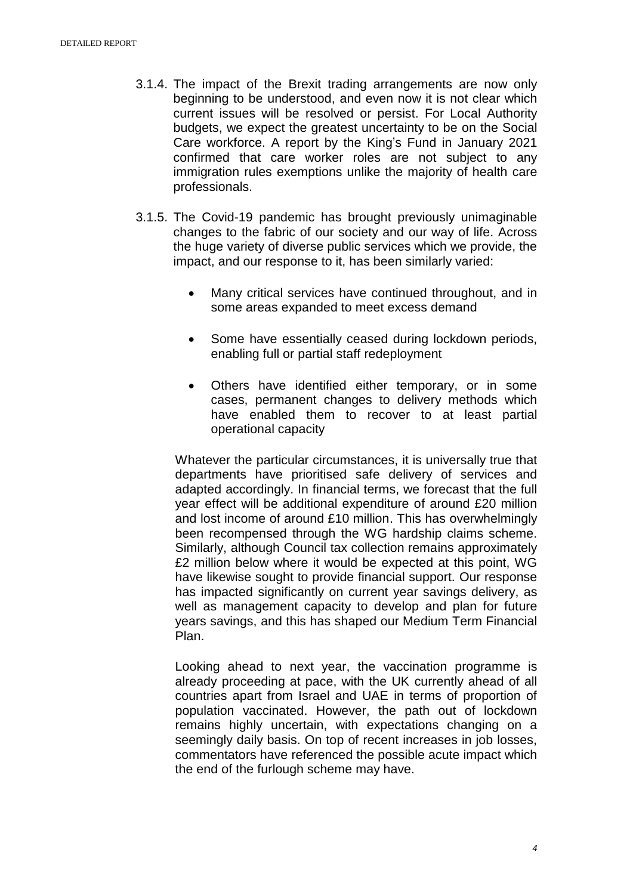- 3.1.4. The impact of the Brexit trading arrangements are now only beginning to be understood, and even now it is not clear which current issues will be resolved or persist. For Local Authority budgets, we expect the greatest uncertainty to be on the Social Care workforce. A report by the King's Fund in January 2021 confirmed that care worker roles are not subject to any immigration rules exemptions unlike the majority of health care professionals.
- 3.1.5. The Covid-19 pandemic has brought previously unimaginable changes to the fabric of our society and our way of life. Across the huge variety of diverse public services which we provide, the impact, and our response to it, has been similarly varied:
	- Many critical services have continued throughout, and in some areas expanded to meet excess demand
	- Some have essentially ceased during lockdown periods, enabling full or partial staff redeployment
	- Others have identified either temporary, or in some cases, permanent changes to delivery methods which have enabled them to recover to at least partial operational capacity

Whatever the particular circumstances, it is universally true that departments have prioritised safe delivery of services and adapted accordingly. In financial terms, we forecast that the full year effect will be additional expenditure of around £20 million and lost income of around £10 million. This has overwhelmingly been recompensed through the WG hardship claims scheme. Similarly, although Council tax collection remains approximately £2 million below where it would be expected at this point, WG have likewise sought to provide financial support. Our response has impacted significantly on current year savings delivery, as well as management capacity to develop and plan for future years savings, and this has shaped our Medium Term Financial Plan.

Looking ahead to next year, the vaccination programme is already proceeding at pace, with the UK currently ahead of all countries apart from Israel and UAE in terms of proportion of population vaccinated. However, the path out of lockdown remains highly uncertain, with expectations changing on a seemingly daily basis. On top of recent increases in job losses, commentators have referenced the possible acute impact which the end of the furlough scheme may have.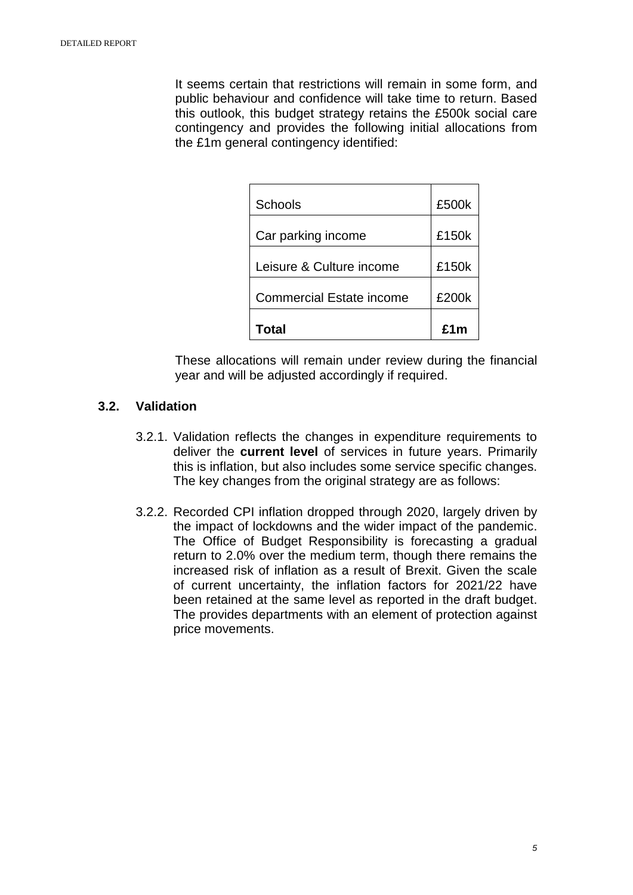It seems certain that restrictions will remain in some form, and public behaviour and confidence will take time to return. Based this outlook, this budget strategy retains the £500k social care contingency and provides the following initial allocations from the £1m general contingency identified:

| Schools                         | £500k |
|---------------------------------|-------|
| Car parking income              | £150k |
| Leisure & Culture income        | £150k |
| <b>Commercial Estate income</b> | £200k |
| Total                           | f1m   |

These allocations will remain under review during the financial year and will be adjusted accordingly if required.

## **3.2. Validation**

- 3.2.1. Validation reflects the changes in expenditure requirements to deliver the **current level** of services in future years. Primarily this is inflation, but also includes some service specific changes. The key changes from the original strategy are as follows:
- 3.2.2. Recorded CPI inflation dropped through 2020, largely driven by the impact of lockdowns and the wider impact of the pandemic. The Office of Budget Responsibility is forecasting a gradual return to 2.0% over the medium term, though there remains the increased risk of inflation as a result of Brexit. Given the scale of current uncertainty, the inflation factors for 2021/22 have been retained at the same level as reported in the draft budget. The provides departments with an element of protection against price movements.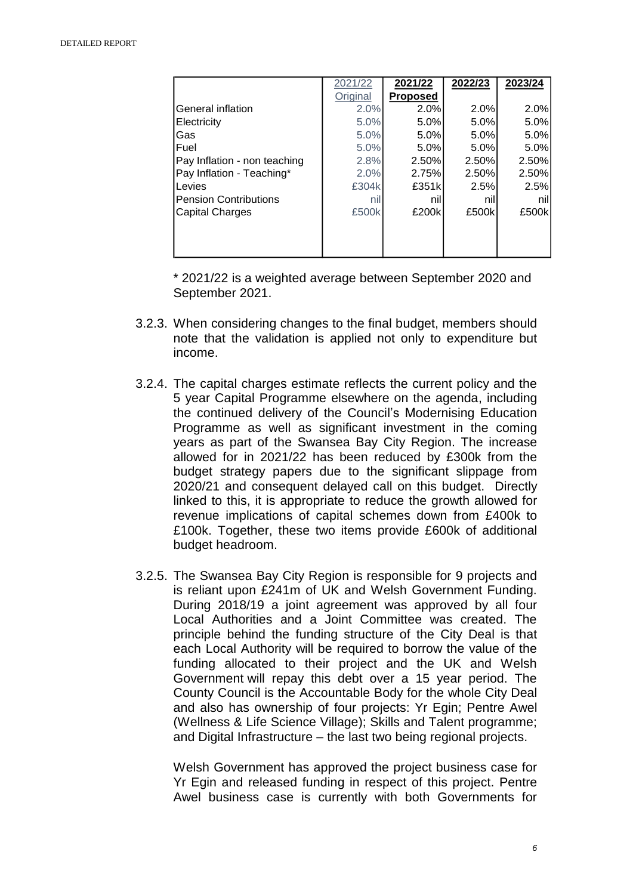|                              | 2021/22  | 2021/22         | 2022/23 | 2023/24 |
|------------------------------|----------|-----------------|---------|---------|
|                              | Original | <b>Proposed</b> |         |         |
| General inflation            | 2.0%     | 2.0%            | 2.0%    | 2.0%    |
| Electricity                  | 5.0%     | 5.0%            | 5.0%    | 5.0%    |
| lGas                         | 5.0%     | 5.0%            | 5.0%    | 5.0%    |
| <b> Fuel</b>                 | 5.0%     | 5.0%            | 5.0%    | 5.0%    |
| Pay Inflation - non teaching | 2.8%     | 2.50%           | 2.50%   | 2.50%   |
| Pay Inflation - Teaching*    | 2.0%     | 2.75%           | 2.50%   | 2.50%   |
| Levies                       | £304k    | £351k           | 2.5%    | 2.5%    |
| lPension Contributions       | nil      | nil             | nil     | nil     |
| Capital Charges              | £500k    | £200k           | £500k   | £500k   |
|                              |          |                 |         |         |
|                              |          |                 |         |         |
|                              |          |                 |         |         |

\* 2021/22 is a weighted average between September 2020 and September 2021.

- 3.2.3. When considering changes to the final budget, members should note that the validation is applied not only to expenditure but income.
- 3.2.4. The capital charges estimate reflects the current policy and the 5 year Capital Programme elsewhere on the agenda, including the continued delivery of the Council's Modernising Education Programme as well as significant investment in the coming years as part of the Swansea Bay City Region. The increase allowed for in 2021/22 has been reduced by £300k from the budget strategy papers due to the significant slippage from 2020/21 and consequent delayed call on this budget. Directly linked to this, it is appropriate to reduce the growth allowed for revenue implications of capital schemes down from £400k to £100k. Together, these two items provide £600k of additional budget headroom.
- 3.2.5. The Swansea Bay City Region is responsible for 9 projects and is reliant upon £241m of UK and Welsh Government Funding. During 2018/19 a joint agreement was approved by all four Local Authorities and a Joint Committee was created. The principle behind the funding structure of the City Deal is that each Local Authority will be required to borrow the value of the funding allocated to their project and the UK and Welsh Government will repay this debt over a 15 year period. The County Council is the Accountable Body for the whole City Deal and also has ownership of four projects: Yr Egin; Pentre Awel (Wellness & Life Science Village); Skills and Talent programme; and Digital Infrastructure – the last two being regional projects.

Welsh Government has approved the project business case for Yr Egin and released funding in respect of this project. Pentre Awel business case is currently with both Governments for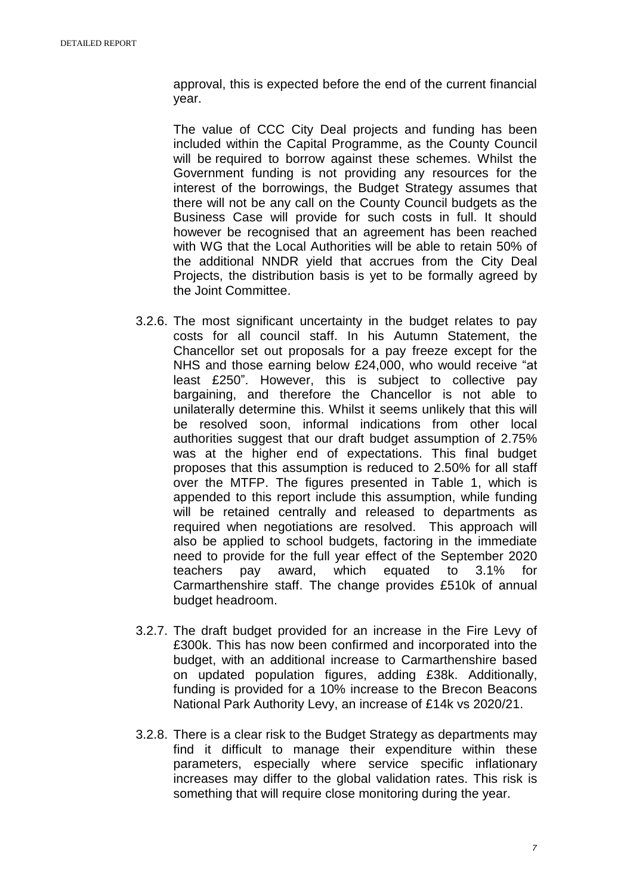approval, this is expected before the end of the current financial year.

The value of CCC City Deal projects and funding has been included within the Capital Programme, as the County Council will be required to borrow against these schemes. Whilst the Government funding is not providing any resources for the interest of the borrowings, the Budget Strategy assumes that there will not be any call on the County Council budgets as the Business Case will provide for such costs in full. It should however be recognised that an agreement has been reached with WG that the Local Authorities will be able to retain 50% of the additional NNDR yield that accrues from the City Deal Projects, the distribution basis is yet to be formally agreed by the Joint Committee.

- 3.2.6. The most significant uncertainty in the budget relates to pay costs for all council staff. In his Autumn Statement, the Chancellor set out proposals for a pay freeze except for the NHS and those earning below £24,000, who would receive "at least £250". However, this is subject to collective pay bargaining, and therefore the Chancellor is not able to unilaterally determine this. Whilst it seems unlikely that this will be resolved soon, informal indications from other local authorities suggest that our draft budget assumption of 2.75% was at the higher end of expectations. This final budget proposes that this assumption is reduced to 2.50% for all staff over the MTFP. The figures presented in Table 1, which is appended to this report include this assumption, while funding will be retained centrally and released to departments as required when negotiations are resolved. This approach will also be applied to school budgets, factoring in the immediate need to provide for the full year effect of the September 2020 teachers pay award, which equated to 3.1% for Carmarthenshire staff. The change provides £510k of annual budget headroom.
- 3.2.7. The draft budget provided for an increase in the Fire Levy of £300k. This has now been confirmed and incorporated into the budget, with an additional increase to Carmarthenshire based on updated population figures, adding £38k. Additionally, funding is provided for a 10% increase to the Brecon Beacons National Park Authority Levy, an increase of £14k vs 2020/21.
- 3.2.8. There is a clear risk to the Budget Strategy as departments may find it difficult to manage their expenditure within these parameters, especially where service specific inflationary increases may differ to the global validation rates. This risk is something that will require close monitoring during the year.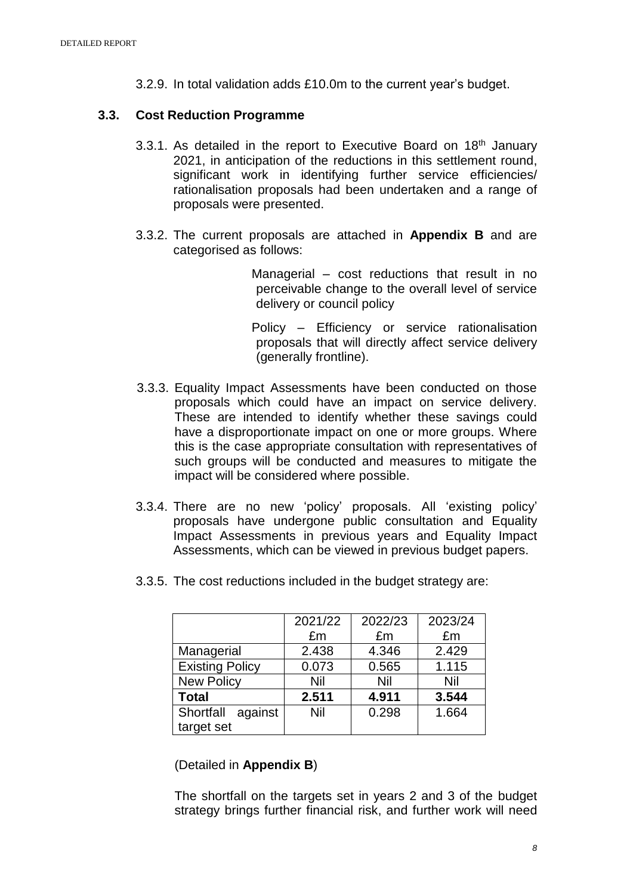3.2.9. In total validation adds £10.0m to the current year's budget.

## **3.3. Cost Reduction Programme**

- 3.3.1. As detailed in the report to Executive Board on  $18<sup>th</sup>$  January 2021, in anticipation of the reductions in this settlement round, significant work in identifying further service efficiencies/ rationalisation proposals had been undertaken and a range of proposals were presented.
- 3.3.2. The current proposals are attached in **Appendix B** and are categorised as follows:

Managerial – cost reductions that result in no perceivable change to the overall level of service delivery or council policy

Policy – Efficiency or service rationalisation proposals that will directly affect service delivery (generally frontline).

- 3.3.3. Equality Impact Assessments have been conducted on those proposals which could have an impact on service delivery. These are intended to identify whether these savings could have a disproportionate impact on one or more groups. Where this is the case appropriate consultation with representatives of such groups will be conducted and measures to mitigate the impact will be considered where possible.
- 3.3.4. There are no new 'policy' proposals. All 'existing policy' proposals have undergone public consultation and Equality Impact Assessments in previous years and Equality Impact Assessments, which can be viewed in previous budget papers.
- 3.3.5. The cost reductions included in the budget strategy are:

|                        | 2021/22 | 2022/23 | 2023/24 |
|------------------------|---------|---------|---------|
|                        | £m      | £m      | £m      |
| Managerial             | 2.438   | 4.346   | 2.429   |
| <b>Existing Policy</b> | 0.073   | 0.565   | 1.115   |
| <b>New Policy</b>      | Nil     | Nil     | Nil     |
| <b>Total</b>           | 2.511   | 4.911   | 3.544   |
| Shortfall against      | Nil     | 0.298   | 1.664   |
| target set             |         |         |         |

#### (Detailed in **Appendix B**)

The shortfall on the targets set in years 2 and 3 of the budget strategy brings further financial risk, and further work will need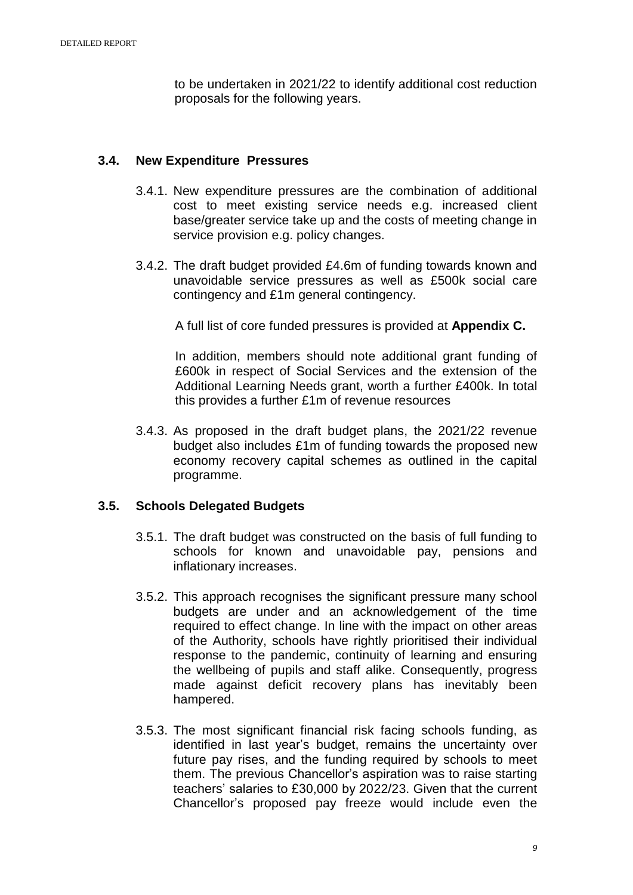to be undertaken in 2021/22 to identify additional cost reduction proposals for the following years.

## **3.4. New Expenditure Pressures**

- 3.4.1. New expenditure pressures are the combination of additional cost to meet existing service needs e.g. increased client base/greater service take up and the costs of meeting change in service provision e.g. policy changes.
- 3.4.2. The draft budget provided £4.6m of funding towards known and unavoidable service pressures as well as £500k social care contingency and £1m general contingency.

A full list of core funded pressures is provided at **Appendix C.**

In addition, members should note additional grant funding of £600k in respect of Social Services and the extension of the Additional Learning Needs grant, worth a further £400k. In total this provides a further £1m of revenue resources

3.4.3. As proposed in the draft budget plans, the 2021/22 revenue budget also includes £1m of funding towards the proposed new economy recovery capital schemes as outlined in the capital programme.

## **3.5. Schools Delegated Budgets**

- 3.5.1. The draft budget was constructed on the basis of full funding to schools for known and unavoidable pay, pensions and inflationary increases.
- 3.5.2. This approach recognises the significant pressure many school budgets are under and an acknowledgement of the time required to effect change. In line with the impact on other areas of the Authority, schools have rightly prioritised their individual response to the pandemic, continuity of learning and ensuring the wellbeing of pupils and staff alike. Consequently, progress made against deficit recovery plans has inevitably been hampered.
- 3.5.3. The most significant financial risk facing schools funding, as identified in last year's budget, remains the uncertainty over future pay rises, and the funding required by schools to meet them. The previous Chancellor's aspiration was to raise starting teachers' salaries to £30,000 by 2022/23. Given that the current Chancellor's proposed pay freeze would include even the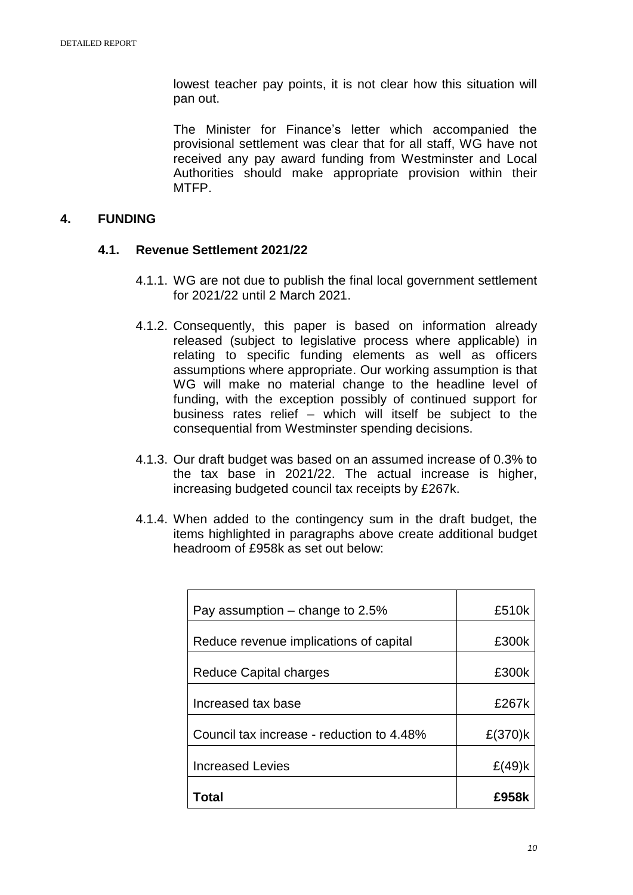lowest teacher pay points, it is not clear how this situation will pan out.

The Minister for Finance's letter which accompanied the provisional settlement was clear that for all staff, WG have not received any pay award funding from Westminster and Local Authorities should make appropriate provision within their MTFP.

## **4. FUNDING**

#### **4.1. Revenue Settlement 2021/22**

- 4.1.1. WG are not due to publish the final local government settlement for 2021/22 until 2 March 2021.
- 4.1.2. Consequently, this paper is based on information already released (subject to legislative process where applicable) in relating to specific funding elements as well as officers assumptions where appropriate. Our working assumption is that WG will make no material change to the headline level of funding, with the exception possibly of continued support for business rates relief – which will itself be subject to the consequential from Westminster spending decisions.
- 4.1.3. Our draft budget was based on an assumed increase of 0.3% to the tax base in 2021/22. The actual increase is higher, increasing budgeted council tax receipts by £267k.
- 4.1.4. When added to the contingency sum in the draft budget, the items highlighted in paragraphs above create additional budget headroom of £958k as set out below:

| Pay assumption $-$ change to 2.5%         | £510k     |
|-------------------------------------------|-----------|
| Reduce revenue implications of capital    | £300k     |
| Reduce Capital charges                    | £300k     |
| Increased tax base                        | £267k     |
| Council tax increase - reduction to 4.48% | £(370)k   |
| <b>Increased Levies</b>                   | $E(49)$ k |
| Total                                     | £958k     |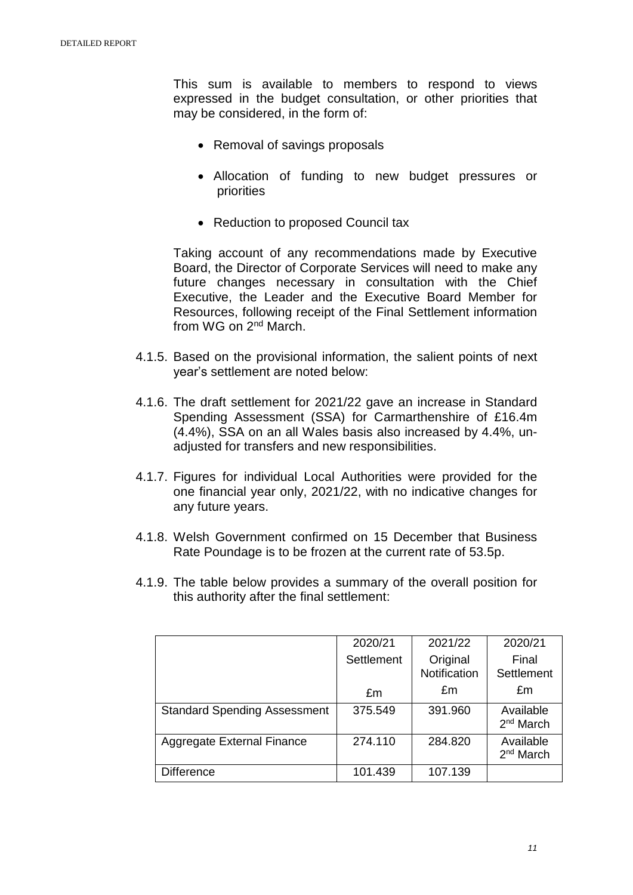This sum is available to members to respond to views expressed in the budget consultation, or other priorities that may be considered, in the form of:

- Removal of savings proposals
- Allocation of funding to new budget pressures or priorities
- Reduction to proposed Council tax

Taking account of any recommendations made by Executive Board, the Director of Corporate Services will need to make any future changes necessary in consultation with the Chief Executive, the Leader and the Executive Board Member for Resources, following receipt of the Final Settlement information from WG on 2<sup>nd</sup> March.

- 4.1.5. Based on the provisional information, the salient points of next year's settlement are noted below:
- 4.1.6. The draft settlement for 2021/22 gave an increase in Standard Spending Assessment (SSA) for Carmarthenshire of £16.4m (4.4%), SSA on an all Wales basis also increased by 4.4%, unadjusted for transfers and new responsibilities.
- 4.1.7. Figures for individual Local Authorities were provided for the one financial year only, 2021/22, with no indicative changes for any future years.
- 4.1.8. Welsh Government confirmed on 15 December that Business Rate Poundage is to be frozen at the current rate of 53.5p.
- 4.1.9. The table below provides a summary of the overall position for this authority after the final settlement:

|                                     | 2020/21    | 2021/22                  | 2020/21                            |
|-------------------------------------|------------|--------------------------|------------------------------------|
|                                     | Settlement | Original<br>Notification | Final<br>Settlement                |
|                                     | £m         | £m                       | £m                                 |
| <b>Standard Spending Assessment</b> | 375.549    | 391.960                  | Available<br>2 <sup>nd</sup> March |
| Aggregate External Finance          | 274.110    | 284.820                  | Available<br>2 <sup>nd</sup> March |
| <b>Difference</b>                   | 101.439    | 107.139                  |                                    |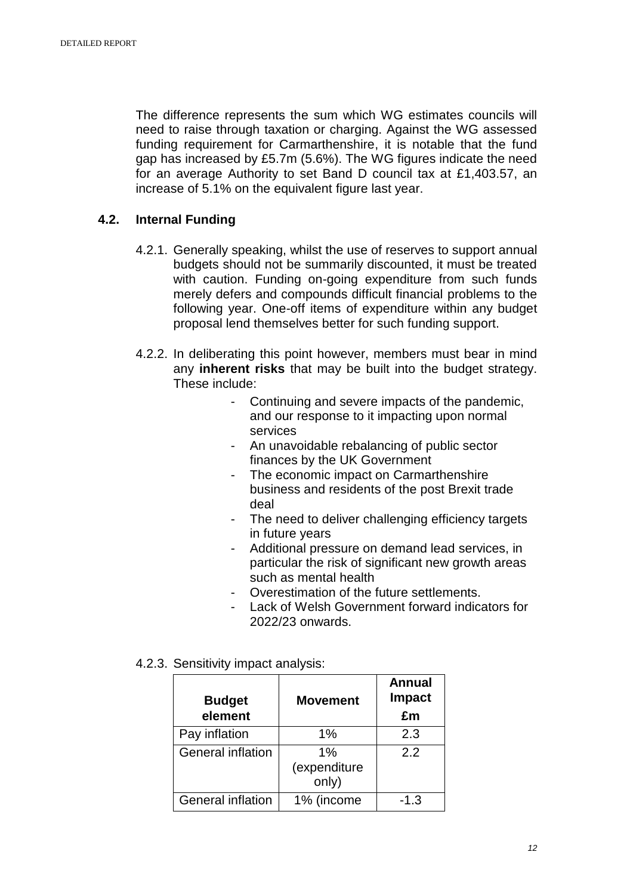The difference represents the sum which WG estimates councils will need to raise through taxation or charging. Against the WG assessed funding requirement for Carmarthenshire, it is notable that the fund gap has increased by £5.7m (5.6%). The WG figures indicate the need for an average Authority to set Band D council tax at £1,403.57, an increase of 5.1% on the equivalent figure last year.

#### **4.2. Internal Funding**

- 4.2.1. Generally speaking, whilst the use of reserves to support annual budgets should not be summarily discounted, it must be treated with caution. Funding on-going expenditure from such funds merely defers and compounds difficult financial problems to the following year. One-off items of expenditure within any budget proposal lend themselves better for such funding support.
- 4.2.2. In deliberating this point however, members must bear in mind any **inherent risks** that may be built into the budget strategy. These include:
	- Continuing and severe impacts of the pandemic, and our response to it impacting upon normal services
	- An unavoidable rebalancing of public sector finances by the UK Government
	- The economic impact on Carmarthenshire business and residents of the post Brexit trade deal
	- The need to deliver challenging efficiency targets in future years
	- Additional pressure on demand lead services, in particular the risk of significant new growth areas such as mental health
	- Overestimation of the future settlements.
	- Lack of Welsh Government forward indicators for 2022/23 onwards.
- 4.2.3. Sensitivity impact analysis:

| <b>Budget</b><br>element | <b>Movement</b>             | <b>Annual</b><br><b>Impact</b><br>£m |
|--------------------------|-----------------------------|--------------------------------------|
| Pay inflation            | 1%                          | 2.3                                  |
| General inflation        | 1%<br>(expenditure<br>only) | 2.2                                  |
| <b>General inflation</b> | 1% (income                  | $-1.3$                               |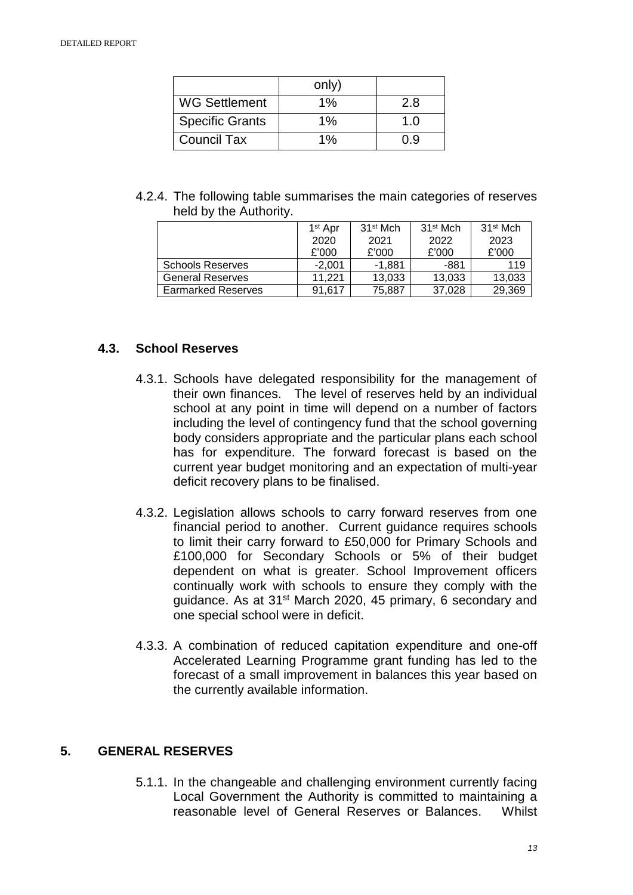|                        | only) |     |
|------------------------|-------|-----|
| <b>WG Settlement</b>   | 1%    | 2.8 |
| <b>Specific Grants</b> | $1\%$ | 1.0 |
| <b>Council Tax</b>     | 1%    | 0.9 |

4.2.4. The following table summarises the main categories of reserves held by the Authority.

|                           | $1st$ Apr | 31 <sup>st</sup> Mch | 31 <sup>st</sup> Mch | 31 <sup>st</sup> Mch |
|---------------------------|-----------|----------------------|----------------------|----------------------|
|                           | 2020      | 2021                 | 2022                 | 2023                 |
|                           | £'000     | £'000                | £'000                | £'000                |
| <b>Schools Reserves</b>   | $-2.001$  | -1,881               | -881                 | 119                  |
| <b>General Reserves</b>   | 11.221    | 13,033               | 13,033               | 13,033               |
| <b>Earmarked Reserves</b> | 91.617    | 75,887               | 37.028               | 29,369               |

## **4.3. School Reserves**

- 4.3.1. Schools have delegated responsibility for the management of their own finances. The level of reserves held by an individual school at any point in time will depend on a number of factors including the level of contingency fund that the school governing body considers appropriate and the particular plans each school has for expenditure. The forward forecast is based on the current year budget monitoring and an expectation of multi-year deficit recovery plans to be finalised.
- 4.3.2. Legislation allows schools to carry forward reserves from one financial period to another. Current guidance requires schools to limit their carry forward to £50,000 for Primary Schools and £100,000 for Secondary Schools or 5% of their budget dependent on what is greater. School Improvement officers continually work with schools to ensure they comply with the guidance. As at 31st March 2020, 45 primary, 6 secondary and one special school were in deficit.
- 4.3.3. A combination of reduced capitation expenditure and one-off Accelerated Learning Programme grant funding has led to the forecast of a small improvement in balances this year based on the currently available information.

## **5. GENERAL RESERVES**

5.1.1. In the changeable and challenging environment currently facing Local Government the Authority is committed to maintaining a reasonable level of General Reserves or Balances. Whilst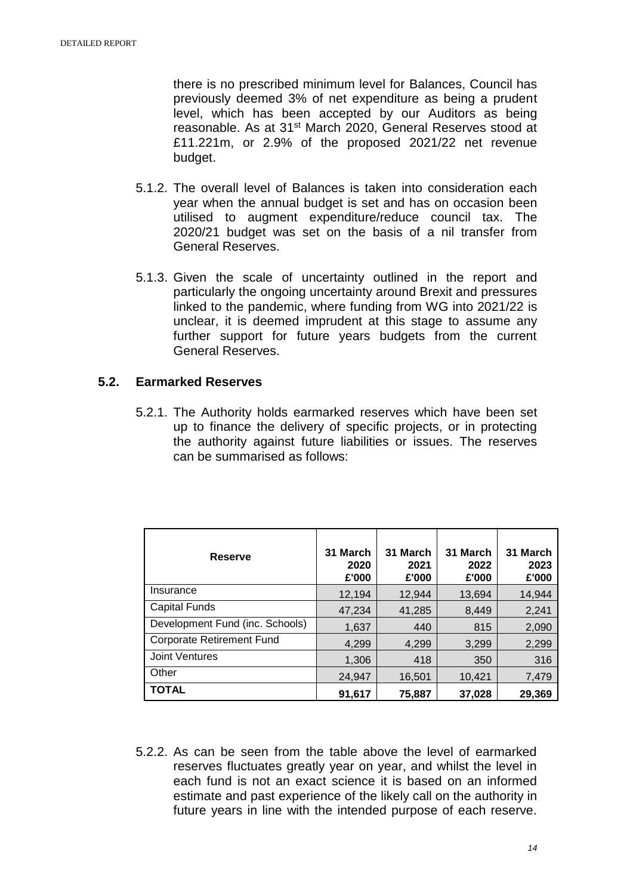there is no prescribed minimum level for Balances, Council has previously deemed 3% of net expenditure as being a prudent level, which has been accepted by our Auditors as being reasonable. As at 31st March 2020, General Reserves stood at £11.221m, or 2.9% of the proposed 2021/22 net revenue budget.

- 5.1.2. The overall level of Balances is taken into consideration each year when the annual budget is set and has on occasion been utilised to augment expenditure/reduce council tax. The 2020/21 budget was set on the basis of a nil transfer from General Reserves.
- 5.1.3. Given the scale of uncertainty outlined in the report and particularly the ongoing uncertainty around Brexit and pressures linked to the pandemic, where funding from WG into 2021/22 is unclear, it is deemed imprudent at this stage to assume any further support for future years budgets from the current General Reserves.

## **5.2. Earmarked Reserves**

5.2.1. The Authority holds earmarked reserves which have been set up to finance the delivery of specific projects, or in protecting the authority against future liabilities or issues. The reserves can be summarised as follows:

| <b>Reserve</b>                   | 31 March<br>2020<br>£'000 | 31 March<br>2021<br>£'000 | 31 March<br>2022<br>£'000 | 31 March<br>2023<br>£'000 |
|----------------------------------|---------------------------|---------------------------|---------------------------|---------------------------|
| Insurance                        | 12,194                    | 12.944                    | 13,694                    | 14,944                    |
| Capital Funds                    | 47,234                    | 41,285                    | 8,449                     | 2,241                     |
| Development Fund (inc. Schools)  | 1,637                     | 440                       | 815                       | 2,090                     |
| <b>Corporate Retirement Fund</b> | 4,299                     | 4.299                     | 3,299                     | 2,299                     |
| <b>Joint Ventures</b>            | 1,306                     | 418                       | 350                       | 316                       |
| Other                            | 24,947                    | 16,501                    | 10,421                    | 7,479                     |
| <b>TOTAL</b>                     | 91.617                    | 75.887                    | 37.028                    | 29.369                    |

5.2.2. As can be seen from the table above the level of earmarked reserves fluctuates greatly year on year, and whilst the level in each fund is not an exact science it is based on an informed estimate and past experience of the likely call on the authority in future years in line with the intended purpose of each reserve.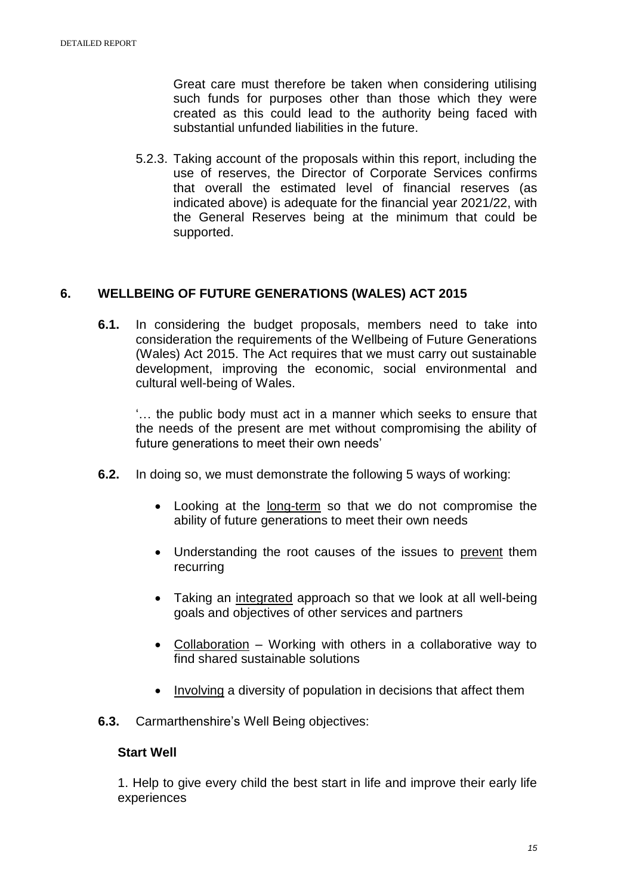Great care must therefore be taken when considering utilising such funds for purposes other than those which they were created as this could lead to the authority being faced with substantial unfunded liabilities in the future.

5.2.3. Taking account of the proposals within this report, including the use of reserves, the Director of Corporate Services confirms that overall the estimated level of financial reserves (as indicated above) is adequate for the financial year 2021/22, with the General Reserves being at the minimum that could be supported.

## **6. WELLBEING OF FUTURE GENERATIONS (WALES) ACT 2015**

**6.1.** In considering the budget proposals, members need to take into consideration the requirements of the Wellbeing of Future Generations (Wales) Act 2015. The Act requires that we must carry out sustainable development, improving the economic, social environmental and cultural well-being of Wales.

'… the public body must act in a manner which seeks to ensure that the needs of the present are met without compromising the ability of future generations to meet their own needs'

- **6.2.** In doing so, we must demonstrate the following 5 ways of working:
	- Looking at the long-term so that we do not compromise the ability of future generations to meet their own needs
	- Understanding the root causes of the issues to prevent them recurring
	- Taking an integrated approach so that we look at all well-being goals and objectives of other services and partners
	- Collaboration Working with others in a collaborative way to find shared sustainable solutions
	- Involving a diversity of population in decisions that affect them
- **6.3.** Carmarthenshire's Well Being objectives:

#### **Start Well**

1. Help to give every child the best start in life and improve their early life experiences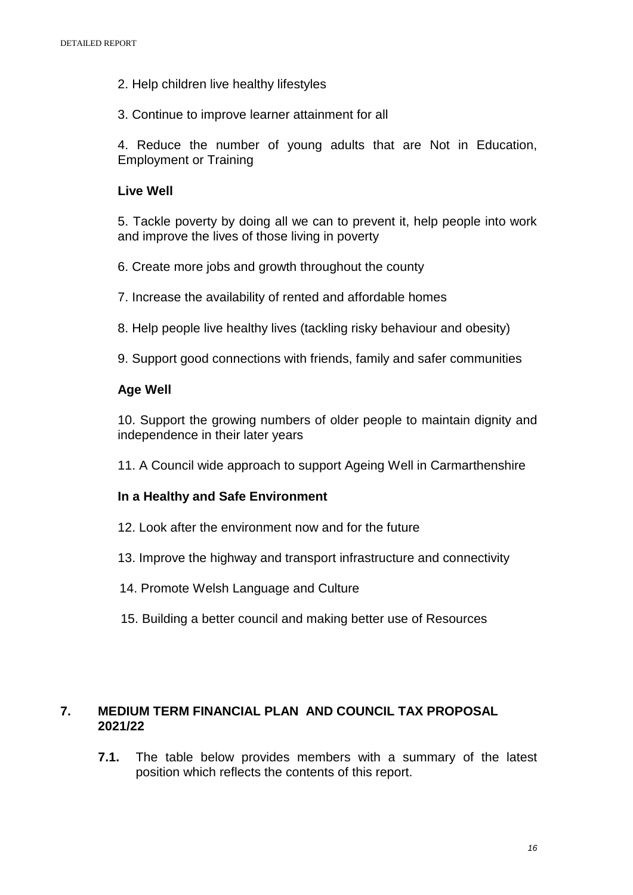- 2. Help children live healthy lifestyles
- 3. Continue to improve learner attainment for all

4. Reduce the number of young adults that are Not in Education, Employment or Training

## **Live Well**

5. Tackle poverty by doing all we can to prevent it, help people into work and improve the lives of those living in poverty

- 6. Create more jobs and growth throughout the county
- 7. Increase the availability of rented and affordable homes
- 8. Help people live healthy lives (tackling risky behaviour and obesity)
- 9. Support good connections with friends, family and safer communities

## **Age Well**

10. Support the growing numbers of older people to maintain dignity and independence in their later years

11. A Council wide approach to support Ageing Well in Carmarthenshire

#### **In a Healthy and Safe Environment**

- 12. Look after the environment now and for the future
- 13. Improve the highway and transport infrastructure and connectivity
- 14. Promote Welsh Language and Culture
- 15. Building a better council and making better use of Resources

## **7. MEDIUM TERM FINANCIAL PLAN AND COUNCIL TAX PROPOSAL 2021/22**

**7.1.** The table below provides members with a summary of the latest position which reflects the contents of this report.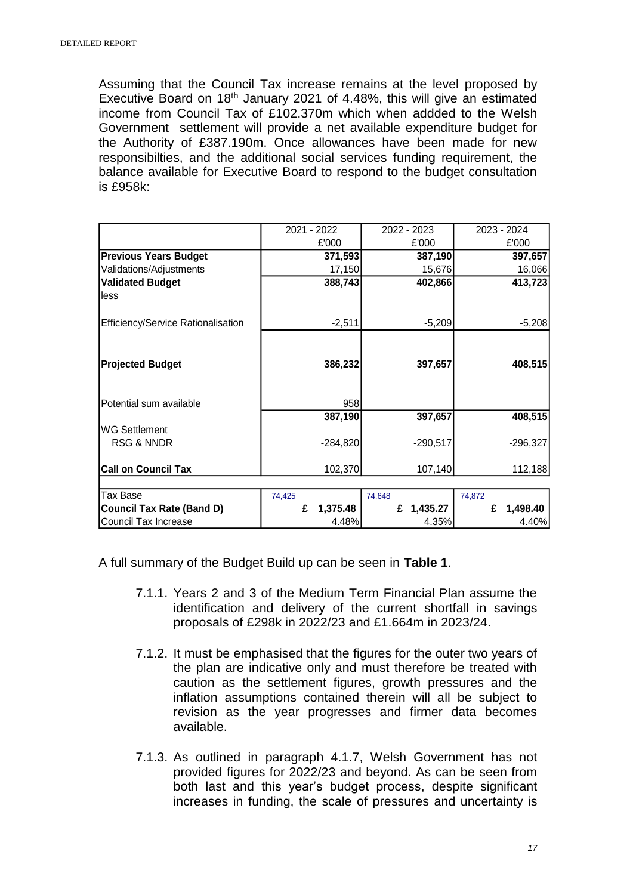Assuming that the Council Tax increase remains at the level proposed by Executive Board on  $18<sup>th</sup>$  January 2021 of 4.48%, this will give an estimated income from Council Tax of £102.370m which when addded to the Welsh Government settlement will provide a net available expenditure budget for the Authority of £387.190m. Once allowances have been made for new responsibilties, and the additional social services funding requirement, the balance available for Executive Board to respond to the budget consultation is £958k:

|                                    | 2021 - 2022 |            |        | 2022 - 2023 |        | 2023 - 2024 |
|------------------------------------|-------------|------------|--------|-------------|--------|-------------|
|                                    |             | £'000      |        | £'000       |        | £'000       |
| <b>Previous Years Budget</b>       |             | 371,593    |        | 387,190     |        | 397,657     |
| Validations/Adjustments            |             | 17,150     |        | 15,676      |        | 16,066      |
| <b>Validated Budget</b>            |             | 388,743    |        | 402,866     |        | 413,723     |
| less                               |             |            |        |             |        |             |
| Efficiency/Service Rationalisation |             | $-2,511$   |        | $-5,209$    |        | $-5,208$    |
|                                    |             |            |        |             |        |             |
| <b>Projected Budget</b>            |             | 386,232    |        | 397,657     |        | 408,515     |
| Potential sum available            |             | 958        |        |             |        |             |
|                                    |             | 387,190    |        | 397,657     |        | 408,515     |
| <b>WG Settlement</b>               |             |            |        |             |        |             |
| <b>RSG &amp; NNDR</b>              |             | $-284,820$ |        | $-290,517$  |        | $-296,327$  |
| <b>Call on Council Tax</b>         |             | 102,370    |        | 107,140     |        | 112,188     |
| Tax Base                           | 74,425      |            | 74,648 |             | 74,872 |             |
| <b>Council Tax Rate (Band D)</b>   | £           | 1,375.48   | £      | 1,435.27    | £      | 1,498.40    |
| Council Tax Increase               |             | 4.48%      |        | 4.35%       |        | 4.40%       |

A full summary of the Budget Build up can be seen in **Table 1**.

- 7.1.1. Years 2 and 3 of the Medium Term Financial Plan assume the identification and delivery of the current shortfall in savings proposals of £298k in 2022/23 and £1.664m in 2023/24.
- 7.1.2. It must be emphasised that the figures for the outer two years of the plan are indicative only and must therefore be treated with caution as the settlement figures, growth pressures and the inflation assumptions contained therein will all be subject to revision as the year progresses and firmer data becomes available.
- 7.1.3. As outlined in paragraph 4.1.7, Welsh Government has not provided figures for 2022/23 and beyond. As can be seen from both last and this year's budget process, despite significant increases in funding, the scale of pressures and uncertainty is